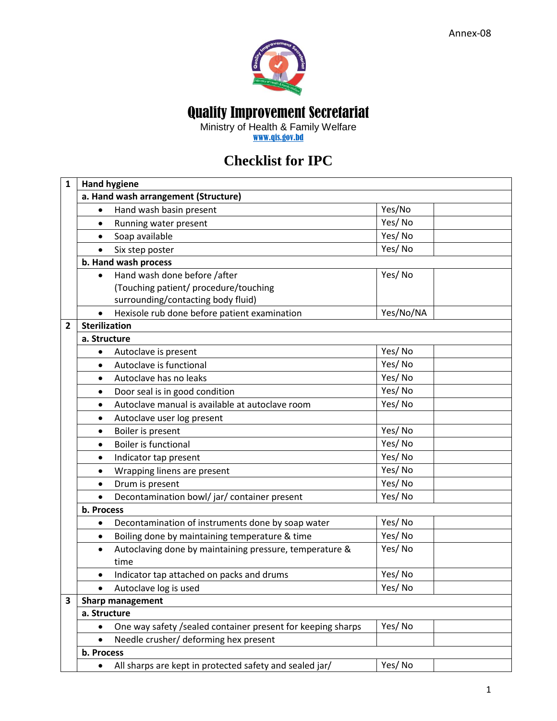

Quality Improvement Secretariat

Ministry of Health & Family Welfare

[www.qis.gov.bd](http://www.qis.gov.bd/)

## **Checklist for IPC**

| $\mathbf{1}$ | <b>Hand hygiene</b>                                                  |           |  |
|--------------|----------------------------------------------------------------------|-----------|--|
|              | a. Hand wash arrangement (Structure)                                 |           |  |
|              | Hand wash basin present<br>$\bullet$                                 | Yes/No    |  |
|              | Running water present<br>$\bullet$                                   | Yes/No    |  |
|              | Soap available                                                       | Yes/No    |  |
|              | Six step poster                                                      | Yes/No    |  |
|              | b. Hand wash process                                                 |           |  |
|              | Hand wash done before /after<br>$\bullet$                            | Yes/No    |  |
|              | (Touching patient/ procedure/touching                                |           |  |
|              | surrounding/contacting body fluid)                                   |           |  |
|              | Hexisole rub done before patient examination<br>$\bullet$            | Yes/No/NA |  |
| 2            | <b>Sterilization</b>                                                 |           |  |
|              | a. Structure                                                         |           |  |
|              | Autoclave is present<br>$\bullet$                                    | Yes/No    |  |
|              | Autoclave is functional<br>$\bullet$                                 | Yes/No    |  |
|              | Autoclave has no leaks<br>$\bullet$                                  | Yes/No    |  |
|              | Door seal is in good condition<br>$\bullet$                          | Yes/No    |  |
|              | Autoclave manual is available at autoclave room<br>$\bullet$         | Yes/No    |  |
|              | Autoclave user log present<br>٠                                      |           |  |
|              | Boiler is present<br>$\bullet$                                       | Yes/No    |  |
|              | <b>Boiler is functional</b><br>$\bullet$                             | Yes/No    |  |
|              | Indicator tap present<br>$\bullet$                                   | Yes/No    |  |
|              | Wrapping linens are present<br>$\bullet$                             | Yes/No    |  |
|              | Drum is present<br>$\bullet$                                         | Yes/No    |  |
|              | Decontamination bowl/jar/container present<br>$\bullet$              | Yes/No    |  |
|              | b. Process                                                           |           |  |
|              | Decontamination of instruments done by soap water<br>$\bullet$       | Yes/No    |  |
|              | Boiling done by maintaining temperature & time<br>$\bullet$          | Yes/No    |  |
|              | Autoclaving done by maintaining pressure, temperature &<br>$\bullet$ | Yes/No    |  |
|              | time                                                                 |           |  |
|              | Indicator tap attached on packs and drums<br>$\bullet$               | Yes/No    |  |
|              | Autoclave log is used                                                | Yes/No    |  |
| 3            | <b>Sharp management</b>                                              |           |  |
|              | a. Structure                                                         |           |  |
|              | One way safety /sealed container present for keeping sharps          | Yes/No    |  |
|              | Needle crusher/ deforming hex present<br>$\bullet$                   |           |  |
|              | b. Process                                                           |           |  |
|              | All sharps are kept in protected safety and sealed jar/              | Yes/No    |  |